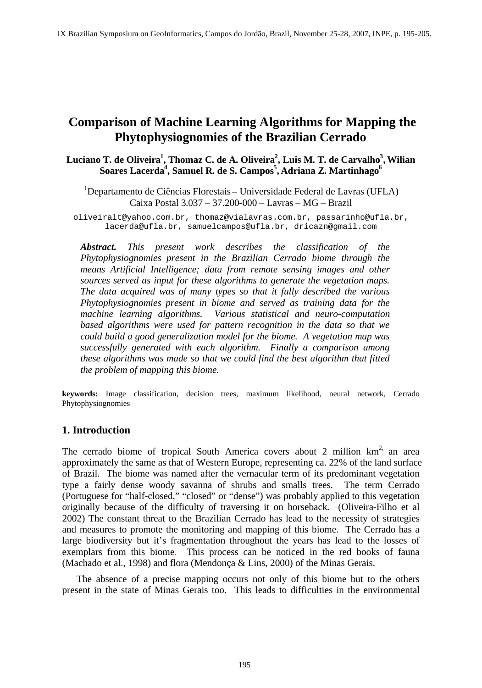# **Comparison of Machine Learning Algorithms for Mapping the Phytophysiognomies of the Brazilian Cerrado**

Luciano T. de Oliveira<sup>1</sup>, Thomaz C. de A. Oliveira<sup>2</sup>, Luis M. T. de Carvalho<sup>3</sup>, Wilian **, Wilian**   $\mathbf{Soares\ Lacerda}^{4}\mathbf{, Samuel\ R.\ de\ S.\ Campos}^{5}\mathbf{, Adriana\ Z.\ Martinhago}^{6}$ 

1Departamento de Ciências Florestais – Universidade Federal de Lavras (UFLA) Caixa Postal 3.037 – 37.200-000 – Lavras – MG – Brazil

oliveiralt@yahoo.com.br, thomaz@vialavras.com.br, passarinho@ufla.br, lacerda@ufla.br, samuelcampos@ufla.br, dricazn@gmail.com

*Abstract. This present work describes the classification of the Phytophysiognomies present in the Brazilian Cerrado biome through the means Artificial Intelligence; data from remote sensing images and other sources served as input for these algorithms to generate the vegetation maps. The data acquired was of many types so that it fully described the various Phytophysiognomies present in biome and served as training data for the machine learning algorithms. Various statistical and neuro-computation based algorithms were used for pattern recognition in the data so that we could build a good generalization model for the biome. A vegetation map was successfully generated with each algorithm. Finally a comparison among these algorithms was made so that we could find the best algorithm that fitted the problem of mapping this biome.*

**keywords:** Image classification, decision trees, maximum likelihood, neural network, Cerrado Phytophysiognomies

# **1. Introduction**

The cerrado biome of tropical South America covers about 2 million  $km<sup>2</sup>$  an area  $2^2$  an area approximately the same as that of Western Europe, representing ca. 22% of the land surface of Brazil. The biome was named after the vernacular term of its predominant vegetation type a fairly dense woody savanna of shrubs and smalls trees. The term Cerrado (Portuguese for "half-closed," "closed" or "dense") was probably applied to this vegetation originally because of the difficulty of traversing it on horseback. (Oliveira-Filho et al 2002) The constant threat to the Brazilian Cerrado has lead to the necessity of strategies and measures to promote the monitoring and mapping of this biome. The Cerrado has a large biodiversity but it's fragmentation throughout the years has lead to the losses of exemplars from this biome. This process can be noticed in the red books of fauna (Machado et al., 1998) and flora (Mendonça & Lins, 2000) of the Minas Gerais.

The absence of a precise mapping occurs not only of this biome but to the others present in the state of Minas Gerais too. This leads to difficulties in the environmental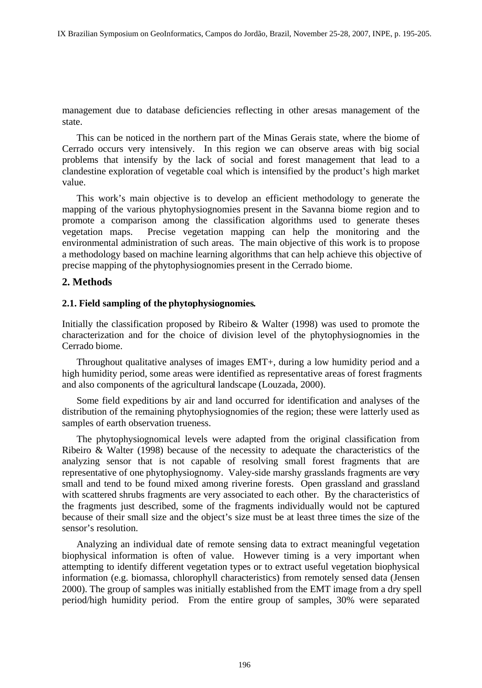management due to database deficiencies reflecting in other aresas management of the state.

This can be noticed in the northern part of the Minas Gerais state, where the biome of Cerrado occurs very intensively. In this region we can observe areas with big social problems that intensify by the lack of social and forest management that lead to a clandestine exploration of vegetable coal which is intensified by the product's high market value.

This work's main objective is to develop an efficient methodology to generate the mapping of the various phytophysiognomies present in the Savanna biome region and to promote a comparison among the classification algorithms used to generate theses vegetation maps. Precise vegetation mapping can help the monitoring and the environmental administration of such areas. The main objective of this work is to propose a methodology based on machine learning algorithms that can help achieve this objective of precise mapping of the phytophysiognomies present in the Cerrado biome.

# **2. Methods**

#### **2.1. Field sampling of the phytophysiognomies.**

Initially the classification proposed by Ribeiro & Walter (1998) was used to promote the characterization and for the choice of division level of the phytophysiognomies in the Cerrado biome.

Throughout qualitative analyses of images EMT+, during a low humidity period and a high humidity period, some areas were identified as representative areas of forest fragments and also components of the agricultural landscape (Louzada, 2000). Some field expeditions by air and land occurred for identification and analyses of the

distribution of the remaining phytophysiognomies of the region; these were latterly used as samples of earth observation trueness.

The phytophysiognomical levels were adapted from the original classification from Ribeiro & Walter (1998) because of the necessity to adequate the characteristics of the analyzing sensor that is not capable of resolving small forest fragments that are representative of one phytophysiognomy. Valey-side marshy grasslands fragments are very small and tend to be found mixed among riverine forests. Open grassland and grassland with scattered shrubs fragments are very associated to each other. By the characteristics of the fragments just described, some of the fragments individually would not be captured because of their small size and the object's size must be at least three times the size of the sensor's resolution.

Analyzing an individual date of remote sensing data to extract meaningful vegetation biophysical information is often of value. However timing is a very important when attempting to identify different vegetation types or to extract useful vegetation biophysical information (e.g. biomassa, chlorophyll characteristics) from remotely sensed data (Jensen 2000). The group of samples was initially established from the EMT image from a dry spell period/high humidity period. From the entire group of samples, 30% were separated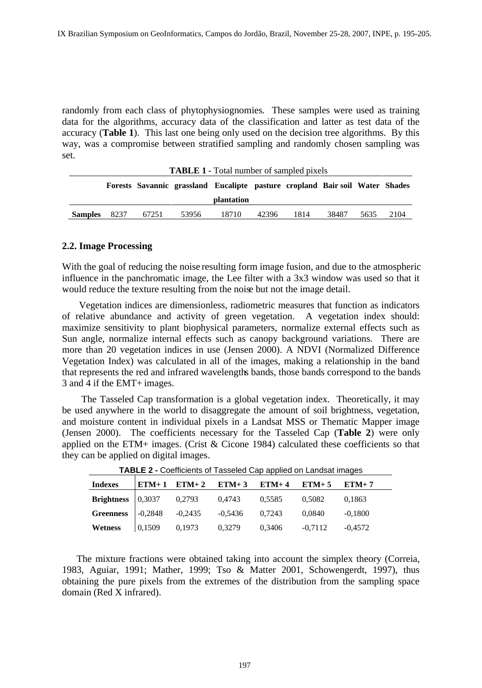randomly from each class of phytophysiognomies. These samples were used as training data for the algorithms, accuracy data of the classification and latter as test data of the accuracy (**Table 1**). This last one being only used on the decision tree algorithms. By this way, was a compromise between stratified sampling and randomly chosen sampling was set.

|                |      |       | <b>TABLE 1 - Total number of sampled pixels</b>                              |            |       |      |       |           |
|----------------|------|-------|------------------------------------------------------------------------------|------------|-------|------|-------|-----------|
|                |      |       | Forests Savannic grassland Eucalipte pasture cropland Bair soil Water Shades |            |       |      |       |           |
|                |      |       |                                                                              | plantation |       |      |       |           |
| <b>Samples</b> | 8237 | 67251 | 53956                                                                        | 18710      | 42396 | 1814 | 38487 | 5635 2104 |

# **2.2. Image Processing**

With the goal of reducing the noise resulting form image fusion, and due to the atmospheric influence in the panchromatic image, the Lee filter with a 3x3 window was used so that it would reduce the texture resulting from the noise but not the image detail. Vegetation indices are dimensionless, radiometric measures that function as indicators

of relative abundance and activity of green vegetation. A vegetation index should: maximize sensitivity to plant biophysical parameters, normalize external effects such as Sun angle, normalize internal effects such as canopy background variations. There are more than 20 vegetation indices in use (Jensen 2000). A NDVI (Normalized Difference Vegetation Index) was calculated in all of the images, making a relationship in the band that represents the red and infrared wavelengths bands, those bands correspond to the bands 3 and 4 if the EMT+ images.

 The Tasseled Cap transformation is a global vegetation index. Theoretically, it may be used anywhere in the world to disaggregate the amount of soil brightness, vegetation, and moisture content in individual pixels in a Landsat MSS or Thematic Mapper image (Jensen 2000). The coefficients necessary for the Tasseled Cap (**Table 2**) were only applied on the ETM+ images. (Crist  $&$  Cicone 1984) calculated these coefficients so that they can be applied on digital images.

|                                                                                |        |                                 | _______ |                     |           |
|--------------------------------------------------------------------------------|--------|---------------------------------|---------|---------------------|-----------|
| <b>Indexes</b>                                                                 |        | $ETM+1$ $ETM+2$ $ETM+3$ $ETM+4$ |         | $ETM+5$ $ETM+7$     |           |
| <b>Brightness</b> $\vert 0,3037 \vert$                                         |        | 0,2793 0,4743 0,5585            |         | 0,5082              | 0,1863    |
|                                                                                |        |                                 |         |                     |           |
| Greenness $\begin{array}{ l} -0.2848 & -0.2435 & -0.5436 & 0.7243 \end{array}$ |        |                                 |         | 0,0840              | $-0,1800$ |
| Wetness                                                                        | 0,1509 | 0,1973 0,3279                   | 0,3406  | $-0,7112$ $-0,4572$ |           |

**TABLE 2 -** Coefficients of Tasseled Cap applied on Landsat images

The mixture fractions were obtained taking into account the simplex theory (Correia, 1983, Aguiar, 1991; Mather, 1999; Tso & Matter 2001, Schowengerdt, 1997), thus obtaining the pure pixels from the extremes of the distribution from the sampling space domain (Red X infrared).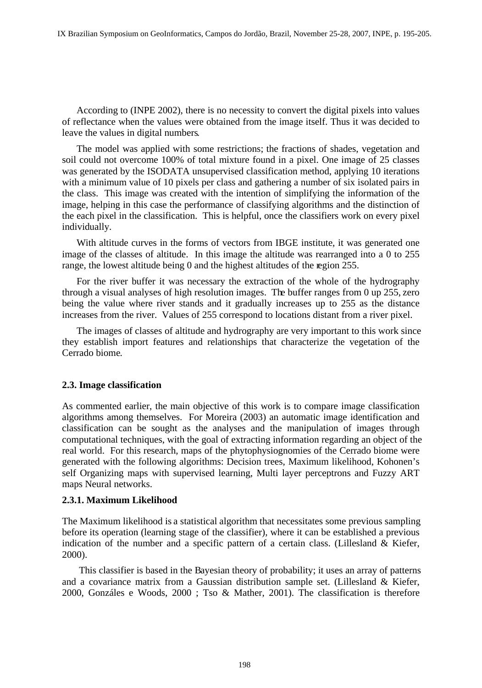According to (INPE 2002), there is no necessity to convert the digital pixels into values of reflectance when the values were obtained from the image itself. Thus it was decided to leave the values in digital numbers. The model was applied with some restrictions; the fractions of shades, vegetation and

soil could not overcome 100% of total mixture found in a pixel. One image of 25 classes was generated by the ISODATA unsupervised classification method, applying 10 iterations with a minimum value of 10 pixels per class and gathering a number of six isolated pairs in the class. This image was created with the intention of simplifying the information of the image, helping in this case the performance of classifying algorithms and the distinction of the each pixel in the classification. This is helpful, once the classifiers work on every pixel individually.

With altitude curves in the forms of vectors from IBGE institute, it was generated one image of the classes of altitude. In this image the altitude was rearranged into a 0 to 255 range, the lowest altitude being 0 and the highest altitudes of the region 255.

For the river buffer it was necessary the extraction of the whole of the hydrography through a visual analyses of high resolution images. The buffer ranges from 0 up 255, zero being the value where river stands and it gradually increases up to 255 as the distance increases from the river. Values of 255 correspond to locations distant from a river pixel.

The images of classes of altitude and hydrography are very important to this work since they establish import features and relationships that characterize the vegetation of the Cerrado biome.

# **2.3. Image classification**

As commented earlier, the main objective of this work is to compare image classification algorithms among themselves. For Moreira (2003) an automatic image identification and classification can be sought as the analyses and the manipulation of images through computational techniques, with the goal of extracting information regarding an object of the real world. For this research, maps of the phytophysiognomies of the Cerrado biome were generated with the following algorithms: Decision trees, Maximum likelihood, Kohonen's self Organizing maps with supervised learning, Multi layer perceptrons and Fuzzy ART maps Neural networks.

#### **2.3.1. Maximum Likelihood**

The Maximum likelihood is a statistical algorithm that necessitates some previous sampling before its operation (learning stage of the classifier), where it can be established a previous indication of the number and a specific pattern of a certain class. (Lillesland & Kiefer, 2000).

 This classifier is based in the Bayesian theory of probability; it uses an array of patterns and a covariance matrix from a Gaussian distribution sample set. (Lillesland & Kiefer, 2000, Gonzáles e Woods, 2000 ; Tso & Mather, 2001). The classification is therefore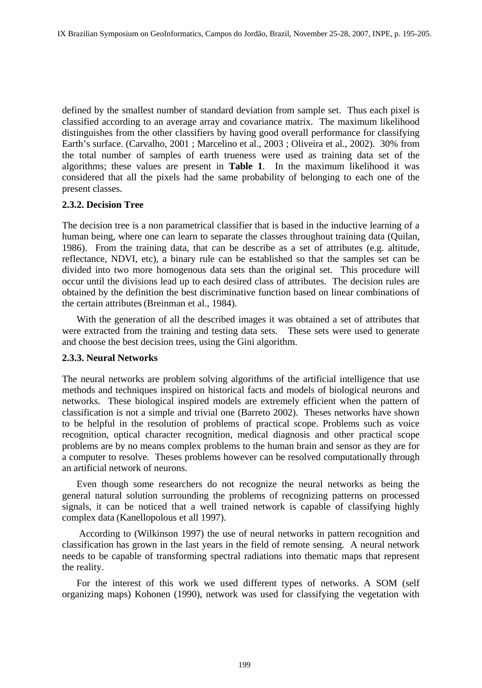defined by the smallest number of standard deviation from sample set. Thus each pixel is classified according to an average array and covariance matrix. The maximum likelihood distinguishes from the other classifiers by having good overall performance for classifying Earth's surface. (Carvalho, 2001 ; Marcelino et al., 2003 ; Oliveira et al., 2002). 30% from the total number of samples of earth trueness were used as training data set of the algorithms; these values are present in **Table 1**. In the maximum likelihood it was considered that all the pixels had the same probability of belonging to each one of the present classes.

#### **2.3.2. Decision Tree**

The decision tree is a non parametrical classifier that is based in the inductive learning of a human being, where one can learn to separate the classes throughout training data (Quilan, 1986). From the training data, that can be describe as a set of attributes (e.g. altitude, reflectance, NDVI, etc), a binary rule can be established so that the samples set can be divided into two more homogenous data sets than the original set. This procedure will occur until the divisions lead up to each desired class of attributes. The decision rules are obtained by the definition the best discriminative function based on linear combinations of the certain attributes (Breinman et al., 1984).

With the generation of all the described images it was obtained a set of attributes that were extracted from the training and testing data sets. These sets were used to generate and choose the best decision trees, using the Gini algorithm.

#### **2.3.3. Neural Networks**

The neural networks are problem solving algorithms of the artificial intelligence that use methods and techniques inspired on historical facts and models of biological neurons and networks. These biological inspired models are extremely efficient when the pattern of classification is not a simple and trivial one (Barreto 2002). Theses networks have shown to be helpful in the resolution of problems of practical scope. Problems such as voice recognition, optical character recognition, medical diagnosis and other practical scope problems are by no means complex problems to the human brain and sensor as they are for a computer to resolve. Theses problems however can be resolved computationally through an artificial network of neurons.

Even though some researchers do not recognize the neural networks as being the general natural solution surrounding the problems of recognizing patterns on processed signals, it can be noticed that a well trained network is capable of classifying highly complex data (Kanellopolous et all 1997). According to (Wilkinson 1997) the use of neural networks in pattern recognition and

classification has grown in the last years in the field of remote sensing. A neural network needs to be capable of transforming spectral radiations into thematic maps that represent the reality.

For the interest of this work we used different types of networks. A SOM (self organizing maps) Kohonen (1990), network was used for classifying the vegetation with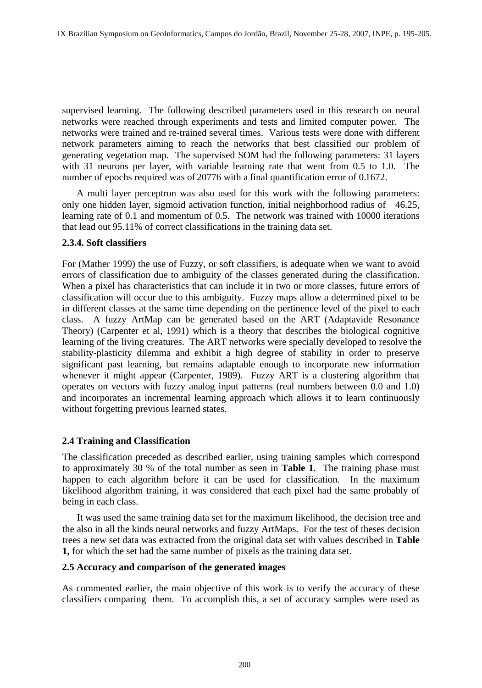supervised learning. The following described parameters used in this research on neural networks were reached through experiments and tests and limited computer power. The networks were trained and re-trained several times. Various tests were done with different network parameters aiming to reach the networks that best classified our problem of generating vegetation map. The supervised SOM had the following parameters: 31 layers with 31 neurons per layer, with variable learning rate that went from 0.5 to 1.0. The number of epochs required was of 20776 with a final quantification error of 0.1672.

A multi layer perceptron was also used for this work with the following parameters: only one hidden layer, sigmoid activation function, initial neighborhood radius of 46.25, learning rate of 0.1 and momentum of 0.5. The network was trained with 10000 iterations that lead out 95.11% of correct classifications in the training data set.

## **2.3.4. Soft classifiers**

For (Mather 1999) the use of Fuzzy, or soft classifiers, is adequate when we want to avoid errors of classification due to ambiguity of the classes generated during the classification. When a pixel has characteristics that can include it in two or more classes, future errors of classification will occur due to this ambiguity. Fuzzy maps allow a determined pixel to be in different classes at the same time depending on the pertinence level of the pixel to each class. A fuzzy ArtMap can be generated based on the ART (Adaptavide Resonance Theory) (Carpenter et al, 1991) which is a theory that describes the biological cognitive learning of the living creatures. The ART networks were specially developed to resolve the stability-plasticity dilemma and exhibit a high degree of stability in order to preserve significant past learning, but remains adaptable enough to incorporate new information whenever it might appear (Carpenter, 1989). Fuzzy ART is a clustering algorithm that operates on vectors with fuzzy analog input patterns (real numbers between 0.0 and 1.0) and incorporates an incremental learning approach which allows it to learn continuously without forgetting previous learned states.

#### **2.4 Training and Classification**

The classification preceded as described earlier, using training samples which correspond to approximately 30 % of the total number as seen in **Table 1**. The training phase must happen to each algorithm before it can be used for classification. In the maximum likelihood algorithm training, it was considered that each pixel had the same probably of being in each class.

It was used the same training data set for the maximum likelihood, the decision tree and the also in all the kinds neural networks and fuzzy ArtMaps. For the test of theses decision trees a new set data was extracted from the original data set with values described in **Table 1,** for which the set had the same number of pixels as the training data set.

#### **2.5 Accuracy and comparison of the generated images**

As commented earlier, the main objective of this work is to verify the accuracy of these classifiers comparing them. To accomplish this, a set of accuracy samples were used as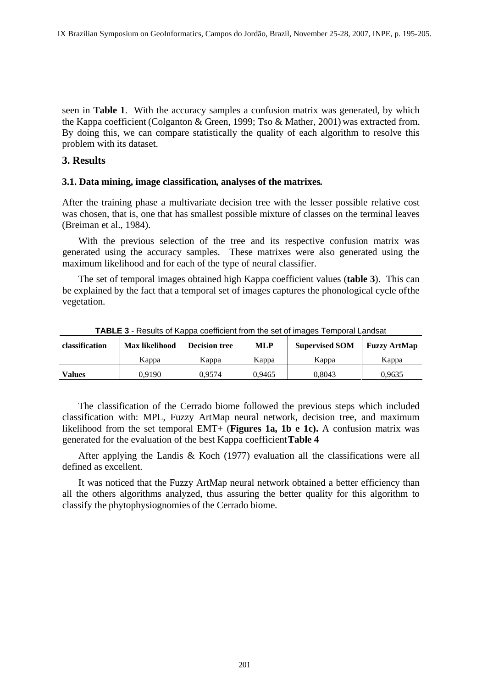seen in **Table 1**. With the accuracy samples a confusion matrix was generated, by which the Kappa coefficient (Colganton & Green, 1999; Tso & Mather, 2001) was extracted from. By doing this, we can compare statistically the quality of each algorithm to resolve this problem with its dataset.

# **3. Results**

#### **3.1. Data mining, image classification, analyses of the matrixes.**

After the training phase a multivariate decision tree with the lesser possible relative cost was chosen, that is, one that has smallest possible mixture of classes on the terminal leaves (Breiman et al., 1984).

With the previous selection of the tree and its respective confusion matrix was generated using the accuracy samples. These matrixes were also generated using the maximum likelihood and for each of the type of neural classifier.

The set of temporal images obtained high Kappa coefficient values (**table 3**). This can be explained by the fact that a temporal set of images captures the phonological cycle of the vegetation.

**TABLE 3** - Results of Kappa coefficient from the set of images Temporal Landsat

The classification of the Cerrado biome followed the previous steps which included classification with: MPL, Fuzzy ArtMap neural network, decision tree, and maximum likelihood from the set temporal EMT+ (**Figures 1a, 1b e 1c).** A confusion matrix was generated for the evaluation of the best Kappa coefficient **Table 4**

After applying the Landis & Koch (1977) evaluation all the classifications were all defined as excellent.

It was noticed that the Fuzzy ArtMap neural network obtained a better efficiency than all the others algorithms analyzed, thus assuring the better quality for this algorithm to classify the phytophysiognomies of the Cerrado biome.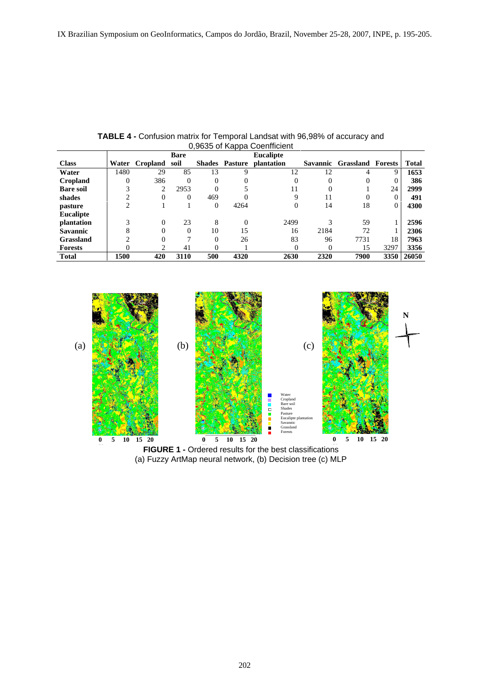|                                     |      |     |      |               |         | ∖ncali      |          |                           |      |            |
|-------------------------------------|------|-----|------|---------------|---------|-------------|----------|---------------------------|------|------------|
| <b>Class</b>                        |      |     | soil | <b>Shades</b> | Pasture | ıntation    | Savannic | c Grassland Forests Total |      |            |
| Water                               | 1480 |     |      |               |         |             |          |                           |      | 1653       |
| <b>Cropland</b><br><b>Bare soil</b> |      |     |      |               |         |             |          |                           |      |            |
|                                     |      |     |      |               |         |             |          |                           |      | 2999       |
|                                     |      |     |      | 469           |         |             |          |                           |      | - 49.      |
| shades<br>pasture<br>Eucalipte      |      |     |      |               | 4264    |             |          | 18.                       |      | 4300       |
|                                     |      |     |      |               |         |             |          |                           |      |            |
| plantation                          |      |     |      |               |         |             |          | 59.                       |      | 2596       |
| Savannic                            |      |     |      |               |         | 16          | 2184     | 72                        |      | 12306      |
|                                     |      |     |      |               |         |             | $\Omega$ | 7731                      |      | - 706      |
| Grassland<br>Forests                |      |     |      |               |         |             |          |                           | 3297 | 3356       |
| <b>Total</b>                        | 1500 | 420 | 3110 | 500           | 4320    | <b>2630</b> | 2320     | 7900                      |      | 3350 26050 |

**TABLE 4 -** Confusion matrix for Temporal Landsat with 96,98% of accuracy and 0,9635 of Kappa Coenfficient



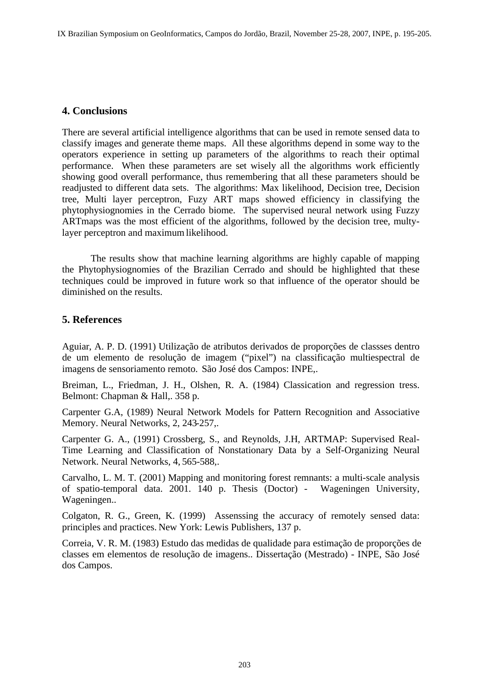# **4. Conclusions**

There are several artificial intelligence algorithms that can be used in remote sensed data to classify images and generate theme maps. All these algorithms depend in some way to the operators experience in setting up parameters of the algorithms to reach their optimal performance. When these parameters are set wisely all the algorithms work efficiently showing good overall performance, thus remembering that all these parameters should be readjusted to different data sets. The algorithms: Max likelihood, Decision tree, Decision tree, Multi layer perceptron, Fuzy ART maps showed efficiency in classifying the phytophysiognomies in the Cerrado biome. The supervised neural network using Fuzzy ARTmaps was the most efficient of the algorithms, followed by the decision tree, multylayer perceptron and maximum likelihood.

The results show that machine learning algorithms are highly capable of mapping the Phytophysiognomies of the Brazilian Cerrado and should be highlighted that these techniques could be improved in future work so that influence of the operator should be diminished on the results.

## **5. References**

Aguiar, A. P. D. (1991) Utilização de atributos derivados de proporções de classses dentro de um elemento de resolução de imagem ("pixel") na classificação multiespectral de imagens de sensoriamento remoto. São José dos Campos: INPE,.

Breiman, L., Friedman, J. H., Olshen, R. A. (1984) Classication and regression tress.<br>Belmont: Chapman & Hall,. 358 p.

Carpenter G.A, (1989) Neural Network Models for Pattern Recognition and Associative Memory. Neural Networks, 2, 243-257,.

Carpenter G. A., (1991) Crossberg, S., and Reynolds, J.H, ARTMAP: Supervised Real- Time Learning and Classification of Nonstationary Data by a Self-Organizing Neural Network. Neural Networks, 4, 565-588,.

Carvalho, L. M. T. (2001) Mapping and monitoring forest remnants: a multi-scale analysis of spatio-temporal data. 2001. 140 p. Thesis (Doctor) - Wageningen University, Wageningen..

Colgaton, R. G., Green, K. (1999) Assenssing the accuracy of remotely sensed data: principles and practices. New York: Lewis Publishers, 137 p.

Correia, V. R. M. (1983) Estudo das medidas de qualidade para estimação de proporções de classes em elementos de resolução de imagens.. Dissertação (Mestrado) - INPE, São José dos Campos.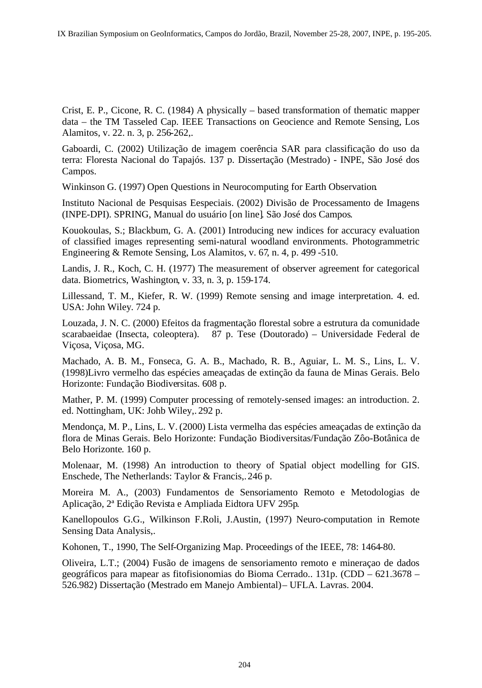Crist, E. P., Cicone, R. C. (1984) A physically – based transformation of thematic mapper data – the TM Tasseled Cap. IEEE Transactions on Geocience and Remote Sensing, Los Alamitos, v. 22. n. 3, p. 256-262,.

Gaboardi, C. (2002) Utilização de imagem coerência SAR para classificação do uso da terra: Floresta Nacional do Tapajós. 137 p. Dissertação (Mestrado) - INPE, São José dos Campos. The contract of the contract of the contract of the contract of the contract of the contract of the contract of the contract of the contract of the contract of the contract of the contract of the contract of the co

Winkinson G. (1997) Open Questions in Neurocomputing for Earth Observation.<br>Instituto Nacional de Pesquisas Eespeciais. (2002) Divisão de Processamento de Imagens (INPE-DPI). SPRING, Manual do usuário [on line]. São José dos Campos. Kouokoulas, S.; Blackbum, G. A. (2001) Introducing new indices for accuracy evaluation

of classified images representing semi-natural woodland environments. Photogrammetric Engineering & Remote Sensing, Los Alamitos, v. 67, n. 4, p. 499 -510. Landis, J. R., Koch, C. H. (1977) The measurement of observer agreement for categorical

data. Biometrics, Washington, v. 33, n. 3, p. 159-174. Lillessand, T. M., Kiefer, R. W. (1999) Remote sensing and image interpretation. 4. ed. USA: John Wiley. 724 p.

Louzada, J. N. C. (2000) Efeitos da fragmentação florestal sobre a estrutura da comunidade scarabaeidae (Insecta, coleoptera). 87 p. Tese (Doutorado) – Universidade Federal de Viçosa, Viçosa, MG.

Machado, A. B. M., Fonseca, G. A. B., Machado, R. B., Aguiar, L. M. S., Lins, L. V. (1998)Livro vermelho das espécies ameaçadas de extinção da fauna de Minas Gerais. Belo Horizonte: Fundação Biodiversitas. 608 p.

Mather, P. M. (1999) Computer processing of remotely-sensed images: an introduction. 2. ed. Nottingham, UK: Johb Wiley,. 292 p.

Mendonça, M. P., Lins, L. V. (2000) Lista vermelha das espécies ameaçadas de extinção da flora de Minas Gerais. Belo Horizonte: Fundação Biodiversitas/Fundação Zôo-Botânica de Belo Horizonte. 160 p.

Molenaar, M. (1998) An introduction to theory of Spatial object modelling for GIS. Enschede, The Netherlands: Taylor & Francis,. 246 p.

Moreira M. A., (2003) Fundamentos de Sensoriamento Remoto e Metodologias de Aplicação, 2ª Edição Revista e Ampliada Eidtora UFV 295p. Kanellopoulos G.G., Wilkinson F.Roli, J.Austin, (1997) Neuro-computation in Remote

Sensing Data Analysis,.

Kohonen, T., 1990, The Self-Organizing Map. Proceedings of the IEEE, 78: 1464-80.

Oliveira, L.T.; (2004) Fusão de imagens de sensoriamento remoto e mineraçao de dados geográficos para mapear as fitofisionomias do Bioma Cerrado.. 131p. (CDD – 621.3678 – 526.982) Dissertação (Mestrado em Manejo Ambiental) – UFLA. Lavras. 2004.